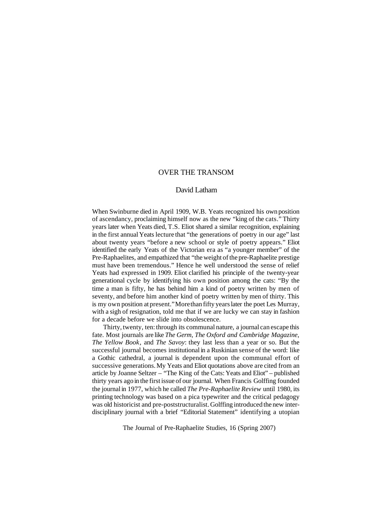# OVER THE TRANSOM

### David Latham

When Swinburne died in April 1909, W.B. Yeats recognized his own position of ascendancy, proclaiming himself now as the new "king of the cats." Thirty years later when Yeats died, T.S. Eliot shared a similar recognition, explaining in the first annual Yeats lecture that "the generations of poetry in our age" last about twenty years "before a new school or style of poetry appears." Eliot identified the early Yeats of the Victorian era as "a younger member" of the Pre-Raphaelites, and empathized that "the weight of the pre-Raphaelite prestige" must have been tremendous." Hence he well understood the sense of relief Yeats had expressed in 1909. Eliot clarified his principle of the twenty-year generational cycle by identifying his own position among the cats: "By the time a man is fifty, he has behind him a kind of poetry written by men of seventy, and before him another kind of poetry written by men of thirty. This is my own position at present." More than fifty years later the poet Les Murray, with a sigh of resignation, told me that if we are lucky we can stay in fashion for a decade before we slide into obsolescence.

Thirty, twenty, ten: through its communal nature, a journal can escape this fate. Most journals are like *The Germ*, *The Oxford and Cambridge Magazine*, *The Yellow Book*, and *The Savoy*: they last less than a year or so. But the successful journal becomes institutional in a Ruskinian sense of the word: like a Gothic cathedral, a journal is dependent upon the communal effort of successive generations.My Yeats and Eliot quotations above are cited from an article by Joanne Seltzer – "The King of the Cats: Yeats and Eliot" – published thirty years ago in the first issue of our journal. When Francis Golffing founded the journalin 1977, which he called *The Pre-Raphaelite Review* until 1980, its printing technology was based on a pica typewriter and the critical pedagogy was old historicist and pre-poststructuralist. Golffing introduced the new interdisciplinary journal with a brief "Editorial Statement" identifying a utopian

The Journal of Pre-Raphaelite Studies, 16 (Spring 2007)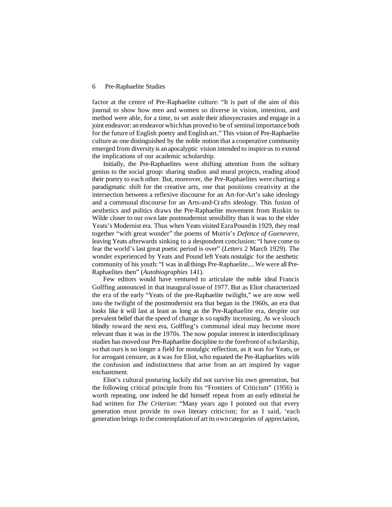#### 6 Pre-Raphaelite Studies

factor at the centre of Pre-Raphaelite culture: "It is part of the aim of this journal to show how men and women so diverse in vision, intention, and method were able, for a time, to set aside their idiosyncrasies and engage in a joint endeavor: an endeavorwhichhas proved to be of seminalimportance both for the future of English poetry and English art." This vision of Pre-Raphaelite culture as one distinguished by the noble notion that a cooperative community emerged from diversity is an apocalyptic vision intended to inspire us to extend the implications of our academic scholarship.

Initially, the Pre-Raphaelites were shifting attention from the solitary genius to the social group: sharing studios and mural projects, reading aloud their poetry to each other. But, moreover, the Pre-Raphaelites were charting a paradigmatic shift for the creative arts, one that positions creativity at the intersection between a reflexive discourse for an Art-for-Art's sake ideology and a communal discourse for an Arts-and-Crafts ideology. This fusion of aesthetics and politics draws the Pre-Raphaelite movement from Ruskin to Wilde closer to our own late postmodernist sensibility than it was to the elder Yeats's Modernist era. Thus when Yeats visited EzraPound in 1929, they read together "with great wonder" the poems of Morris's *Defence of Guenevere*, leaving Yeats afterwards sinking to a despondent conclusion: "I have come to fear the world's last great poetic period is over" (*Letters* 2 March 1929). The wonder experienced by Yeats and Pound left Yeats nostalgic for the aesthetic community of his youth: "I was in allthings Pre-Raphaelite....We were all Pre-Raphaelites then" (*Autobiographies* 141).

Few editors would have ventured to articulate the noble ideal Francis Golffing announced in that inauguralissue of 1977. But as Eliot characterized the era of the early "Yeats of the pre-Raphaelite twilight," we are now well into the twilight of the postmodernist era that began in the 1960s, an era that looks like it will last at least as long as the Pre-Raphaelite era, despite our prevalent belief that the speed of change is so rapidly increasing. As we slouch blindly toward the next era, Golffing's communal ideal may become more relevant than it was in the 1970s. The now popular interest in interdisciplinary studies has moved our Pre-Raphaelite discipline to the forefront of scholarship, so that ours is no longer a field for nostalgic reflection, as it was for Yeats, or for arrogant censure, as it was for Eliot, who equated the Pre-Raphaelites with the confusion and indistinctness that arise from an art inspired by vague enchantment.

Eliot's cultural posturing luckily did not survive his own generation, but the following critical principle from his "Frontiers of Criticism" (1956) is worth repeating, one indeed he did himself repeat from an early editorial he had written for *The Criterion*: "Many years ago I pointed out that every generation must provide its own literary criticism; for as I said, 'each generation brings to the contemplation of art its owncategories of appreciation,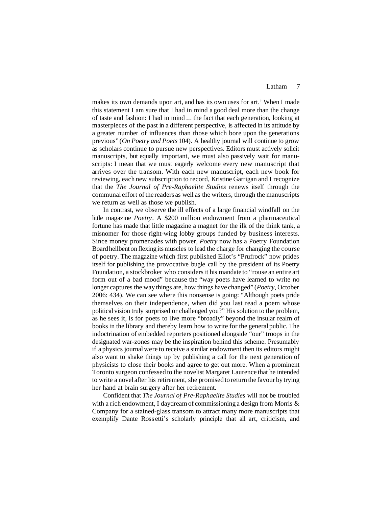### Latham 7

makes its own demands upon art, and has its own uses for art.' When I made this statement I am sure that I had in mind a good deal more than the change of taste and fashion: I had in mind ... the fact that each generation, looking at masterpieces of the past in a different perspective, is affected in its attitude by a greater number of influences than those which bore upon the generations previous" (*On Poetry and Poets* 104). A healthy journal will continue to grow as scholars continue to pursue new perspectives. Editors must actively solicit manuscripts, but equally important, we must also passively wait for manuscripts: I mean that we must eagerly welcome every new manuscript that arrives over the transom. With each new manuscript, each new book for reviewing, each new subscription to record, Kristine Garrigan and I recognize that the *The Journal of Pre-Raphaelite Studies* renews itself through the communal effort of the readers as well as the writers, through the manuscripts we return as well as those we publish.

In contrast, we observe the ill effects of a large financial windfall on the little magazine *Poetry*. A \$200 million endowment from a pharmaceutical fortune has made that little magazine a magnet for the ilk of the think tank, a misnomer for those right-wing lobby groups funded by business interests. Since money promenades with power, *Poetry* now has a Poetry Foundation Board hellbent on flexing its muscles to lead the charge for changing the course of poetry. The magazine which first published Eliot's "Prufrock" now prides itself for publishing the provocative bugle call by the president of its Poetry Foundation, a stockbroker who considers it his mandate to "rouse an entire art form out of a bad mood" because the "way poets have learned to write no longer captures the way things are, how things have changed" (*Poetry*, October 2006: 434). We can see where this nonsense is going: "Although poets pride themselves on their independence, when did you last read a poem whose political vision truly surprised or challenged you?" His solution to the problem, as he sees it, is for poets to live more "broadly" beyond the insular realm of books in the library and thereby learn how to write for the general public. The indoctrination of embedded reporters positioned alongside "our" troops in the designated war-zones may be the inspiration behind this scheme. Presumably if a physics journalwere to receive a similar endowment then its editors might also want to shake things up by publishing a call for the next generation of physicists to close their books and agree to get out more. When a prominent Toronto surgeon confessed to the novelist Margaret Laurence that he intended to write a novel after his retirement, she promised to return the favour by trying her hand at brain surgery after her retirement.

Confident that *The Journal of Pre-Raphaelite Studies* will not be troubled with a rich endowment, I daydream of commissioning a design from Morris & Company for a stained-glass transom to attract many more manuscripts that exemplify Dante Rossetti's scholarly principle that all art, criticism, and